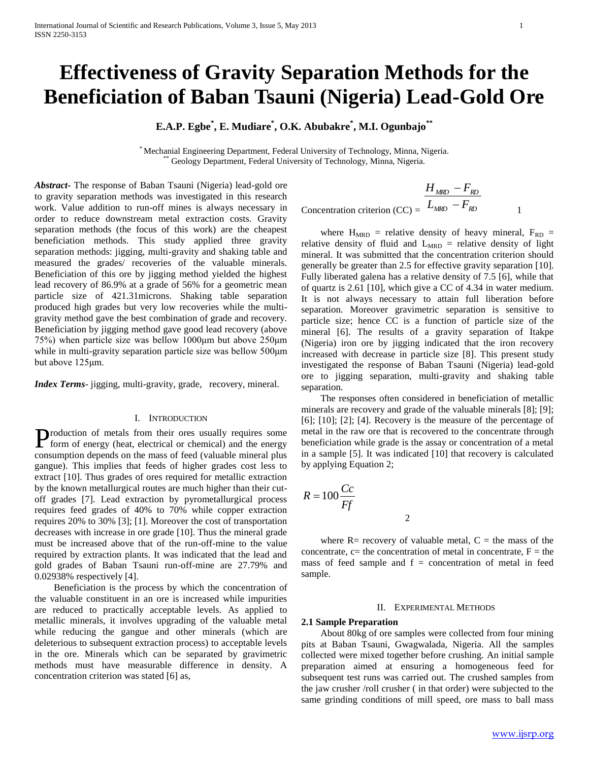# **Effectiveness of Gravity Separation Methods for the Beneficiation of Baban Tsauni (Nigeria) Lead-Gold Ore**

**E.A.P. Egbe\* , E. Mudiare\* , O.K. Abubakre\* , M.I. Ogunbajo\*\***

\* Mechanial Engineering Department, Federal University of Technology, Minna, Nigeria. Geology Department, Federal University of Technology, Minna, Nigeria.

*Abstract***-** The response of Baban Tsauni (Nigeria) lead-gold ore to gravity separation methods was investigated in this research work. Value addition to run-off mines is always necessary in order to reduce downstream metal extraction costs. Gravity separation methods (the focus of this work) are the cheapest beneficiation methods. This study applied three gravity separation methods: jigging, multi-gravity and shaking table and measured the grades/ recoveries of the valuable minerals. Beneficiation of this ore by jigging method yielded the highest lead recovery of 86.9% at a grade of 56% for a geometric mean particle size of 421.31microns. Shaking table separation produced high grades but very low recoveries while the multigravity method gave the best combination of grade and recovery. Beneficiation by jigging method gave good lead recovery (above 75%) when particle size was bellow 1000μm but above 250μm while in multi-gravity separation particle size was bellow 500μm but above 125μm.

*Index Terms*- jigging, multi-gravity, grade, recovery, mineral.

## I. INTRODUCTION

roduction of metals from their ores usually requires some Production of metals from their ores usually requires some form of energy (heat, electrical or chemical) and the energy consumption depends on the mass of feed (valuable mineral plus gangue). This implies that feeds of higher grades cost less to extract [10]. Thus grades of ores required for metallic extraction by the known metallurgical routes are much higher than their cutoff grades [7]. Lead extraction by pyrometallurgical process requires feed grades of 40% to 70% while copper extraction requires 20% to 30% [3]; [1]. Moreover the cost of transportation decreases with increase in ore grade [10]. Thus the mineral grade must be increased above that of the run-off-mine to the value required by extraction plants. It was indicated that the lead and gold grades of Baban Tsauni run-off-mine are 27.79% and 0.02938% respectively [4].

 Beneficiation is the process by which the concentration of the valuable constituent in an ore is increased while impurities are reduced to practically acceptable levels. As applied to metallic minerals, it involves upgrading of the valuable metal while reducing the gangue and other minerals (which are deleterious to subsequent extraction process) to acceptable levels in the ore. Minerals which can be separated by gravimetric methods must have measurable difference in density. A concentration criterion was stated [6] as,

$$
\frac{H_{MRD} - F_{RD}}{L_{MRD} - F_{RD}}
$$
  
Concentration criterion (CC) =  $\frac{L_{MRD} - F_{RD}}{L_{MRD} - F_{RD}}$ 

where  $H_{MRD}$  = relative density of heavy mineral,  $F_{RD}$  = relative density of fluid and  $L_{MRD}$  = relative density of light mineral. It was submitted that the concentration criterion should generally be greater than 2.5 for effective gravity separation [10]. Fully liberated galena has a relative density of 7.5 [6], while that of quartz is 2.61 [10], which give a CC of 4.34 in water medium. It is not always necessary to attain full liberation before separation. Moreover gravimetric separation is sensitive to particle size; hence CC is a function of particle size of the mineral [6]. The results of a gravity separation of Itakpe (Nigeria) iron ore by jigging indicated that the iron recovery increased with decrease in particle size [8]. This present study investigated the response of Baban Tsauni (Nigeria) lead-gold ore to jigging separation, multi-gravity and shaking table separation.

 The responses often considered in beneficiation of metallic minerals are recovery and grade of the valuable minerals [8]; [9]; [6]; [10]; [2]; [4]. Recovery is the measure of the percentage of metal in the raw ore that is recovered to the concentrate through beneficiation while grade is the assay or concentration of a metal in a sample [5]. It was indicated [10] that recovery is calculated by applying Equation 2;

$$
R = 100 \frac{Cc}{Ff}
$$

where  $R=$  recovery of valuable metal,  $C =$  the mass of the concentrate,  $c=$  the concentration of metal in concentrate,  $F =$  the mass of feed sample and  $f =$  concentration of metal in feed sample.

2

## II. EXPERIMENTAL METHODS

## **2.1 Sample Preparation**

 About 80kg of ore samples were collected from four mining pits at Baban Tsauni, Gwagwalada, Nigeria. All the samples collected were mixed together before crushing. An initial sample preparation aimed at ensuring a homogeneous feed for subsequent test runs was carried out. The crushed samples from the jaw crusher /roll crusher ( in that order) were subjected to the same grinding conditions of mill speed, ore mass to ball mass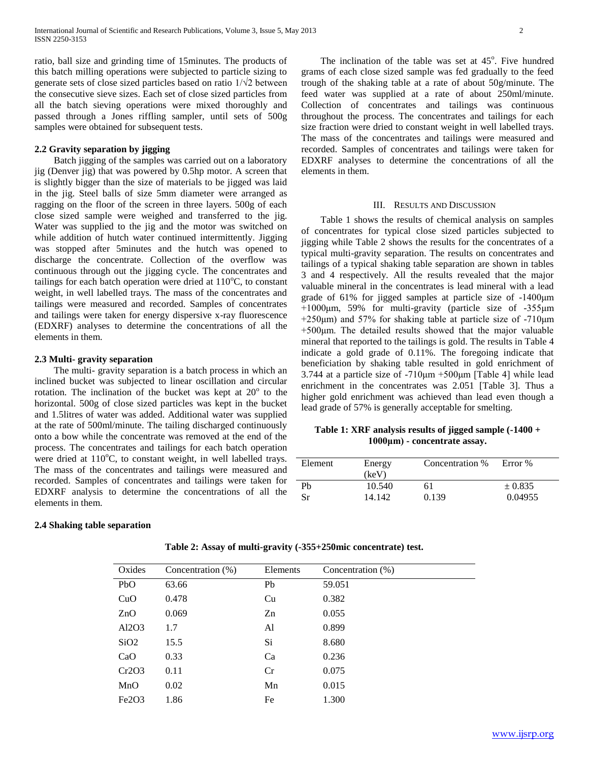ratio, ball size and grinding time of 15minutes. The products of this batch milling operations were subjected to particle sizing to generate sets of close sized particles based on ratio 1/√2 between the consecutive sieve sizes. Each set of close sized particles from all the batch sieving operations were mixed thoroughly and passed through a Jones riffling sampler, until sets of 500g samples were obtained for subsequent tests.

# **2.2 Gravity separation by jigging**

 Batch jigging of the samples was carried out on a laboratory jig (Denver jig) that was powered by 0.5hp motor. A screen that is slightly bigger than the size of materials to be jigged was laid in the jig. Steel balls of size 5mm diameter were arranged as ragging on the floor of the screen in three layers. 500g of each close sized sample were weighed and transferred to the jig. Water was supplied to the jig and the motor was switched on while addition of hutch water continued intermittently. Jigging was stopped after 5minutes and the hutch was opened to discharge the concentrate. Collection of the overflow was continuous through out the jigging cycle. The concentrates and tailings for each batch operation were dried at  $110^{\circ}$ C, to constant weight, in well labelled trays. The mass of the concentrates and tailings were measured and recorded. Samples of concentrates and tailings were taken for energy dispersive x-ray fluorescence (EDXRF) analyses to determine the concentrations of all the elements in them.

# **2.3 Multi- gravity separation**

 The multi- gravity separation is a batch process in which an inclined bucket was subjected to linear oscillation and circular rotation. The inclination of the bucket was kept at  $20^{\circ}$  to the horizontal. 500g of close sized particles was kept in the bucket and 1.5litres of water was added. Additional water was supplied at the rate of 500ml/minute. The tailing discharged continuously onto a bow while the concentrate was removed at the end of the process. The concentrates and tailings for each batch operation were dried at  $110^{\circ}$ C, to constant weight, in well labelled trays. The mass of the concentrates and tailings were measured and recorded. Samples of concentrates and tailings were taken for EDXRF analysis to determine the concentrations of all the elements in them.

## **2.4 Shaking table separation**

The inclination of the table was set at  $45^\circ$ . Five hundred grams of each close sized sample was fed gradually to the feed trough of the shaking table at a rate of about 50g/minute. The feed water was supplied at a rate of about 250ml/minute. Collection of concentrates and tailings was continuous throughout the process. The concentrates and tailings for each size fraction were dried to constant weight in well labelled trays. The mass of the concentrates and tailings were measured and recorded. Samples of concentrates and tailings were taken for EDXRF analyses to determine the concentrations of all the elements in them.

#### III. RESULTS AND DISCUSSION

 Table 1 shows the results of chemical analysis on samples of concentrates for typical close sized particles subjected to jigging while Table 2 shows the results for the concentrates of a typical multi-gravity separation. The results on concentrates and tailings of a typical shaking table separation are shown in tables 3 and 4 respectively. All the results revealed that the major valuable mineral in the concentrates is lead mineral with a lead grade of 61% for jigged samples at particle size of -1400μm +1000μm, 59% for multi-gravity (particle size of -355μm +250μm) and 57% for shaking table at particle size of -710μm +500μm. The detailed results showed that the major valuable mineral that reported to the tailings is gold. The results in Table 4 indicate a gold grade of 0.11%. The foregoing indicate that beneficiation by shaking table resulted in gold enrichment of 3.744 at a particle size of -710μm +500μm [Table 4] while lead enrichment in the concentrates was 2.051 [Table 3]. Thus a higher gold enrichment was achieved than lead even though a lead grade of 57% is generally acceptable for smelting.

# **Table 1: XRF analysis results of jigged sample (-1400 + 1000μm) - concentrate assay.**

| Element | Energy<br>(keV) | Concentration % | Error %  |
|---------|-----------------|-----------------|----------|
| Ph      | 10.540          | 61              | $+0.835$ |
| Sr      | 14.142.         | 0.139           | 0.04955  |

| Oxides                         | Concentration (%) | Elements | Concentration (%) |
|--------------------------------|-------------------|----------|-------------------|
| PbO                            | 63.66             | Pb       | 59.051            |
| CuO                            | 0.478             | Cu       | 0.382             |
| ZnO                            | 0.069             | Zn       | 0.055             |
| Al2O3                          | 1.7               | Al       | 0.899             |
| SiO <sub>2</sub>               | 15.5              | Si.      | 8.680             |
| CaO                            | 0.33              | Ca       | 0.236             |
| Cr2O3                          | 0.11              | Cr       | 0.075             |
| MnO                            | 0.02              | Mn       | 0.015             |
| Fe <sub>2</sub> O <sub>3</sub> | 1.86              | Fe       | 1.300             |

#### **Table 2: Assay of multi-gravity (-355+250mic concentrate) test.**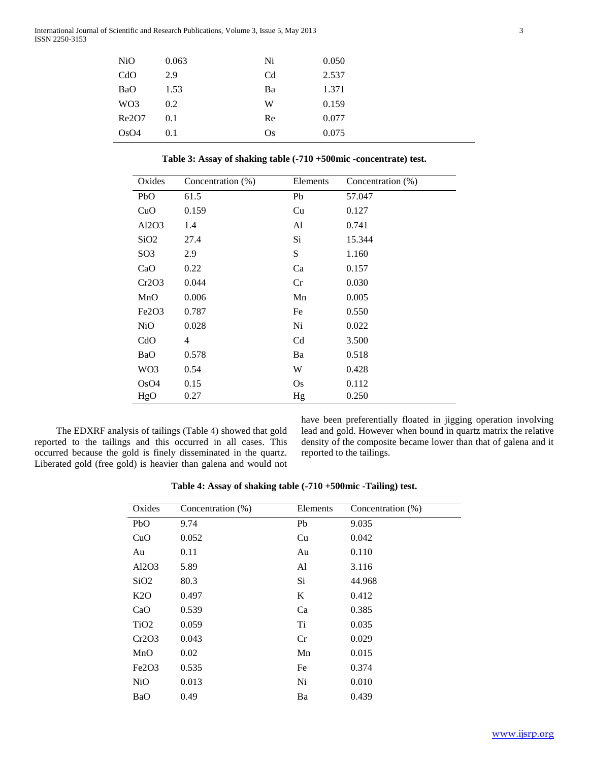| <b>NiO</b>      | 0.063 | Ni             | 0.050 |
|-----------------|-------|----------------|-------|
| CdO             | 2.9   | C <sub>d</sub> | 2.537 |
| BaO             | 1.53  | Ba             | 1.371 |
| WO <sub>3</sub> | 0.2   | W              | 0.159 |
| Re2O7           | 0.1   | Re             | 0.077 |
| OsO4            | 0.1   | Os             | 0.075 |

**Table 3: Assay of shaking table (-710 +500mic -concentrate) test.**

| Oxides                         | Concentration (%) | Elements       | Concentration (%) |
|--------------------------------|-------------------|----------------|-------------------|
| PbO                            | 61.5              | Pb             | 57.047            |
| CuO                            | 0.159             | Cu             | 0.127             |
| Al2O3                          | 1.4               | Al             | 0.741             |
| SiO <sub>2</sub>               | 27.4              | Si             | 15.344            |
| SO <sub>3</sub>                | 2.9               | S              | 1.160             |
| CaO                            | 0.22              | Ca             | 0.157             |
| Cr2O3                          | 0.044             | Cr             | 0.030             |
| MnO                            | 0.006             | Mn             | 0.005             |
| Fe <sub>2</sub> O <sub>3</sub> | 0.787             | Fe             | 0.550             |
| <b>NiO</b>                     | 0.028             | Ni             | 0.022             |
| CdO                            | 4                 | C <sub>d</sub> | 3.500             |
| <b>BaO</b>                     | 0.578             | Ba             | 0.518             |
| WO <sub>3</sub>                | 0.54              | W              | 0.428             |
| OsO4                           | 0.15              | <b>Os</b>      | 0.112             |
| HgO                            | 0.27              | Hg             | 0.250             |

 The EDXRF analysis of tailings (Table 4) showed that gold reported to the tailings and this occurred in all cases. This occurred because the gold is finely disseminated in the quartz. Liberated gold (free gold) is heavier than galena and would not have been preferentially floated in jigging operation involving lead and gold. However when bound in quartz matrix the relative density of the composite became lower than that of galena and it reported to the tailings.

**Table 4: Assay of shaking table (-710 +500mic -Tailing) test.**

| Oxides                         | Concentration (%) | Elements | Concentration (%) |
|--------------------------------|-------------------|----------|-------------------|
| PbO                            | 9.74              | Pb       | 9.035             |
| CuO                            | 0.052             | Cu       | 0.042             |
| Au                             | 0.11              | Au       | 0.110             |
| Al2O3                          | 5.89              | Al       | 3.116             |
| SiO <sub>2</sub>               | 80.3              | Si       | 44.968            |
| K2O                            | 0.497             | K        | 0.412             |
| CaO                            | 0.539             | Ca       | 0.385             |
| TiO <sub>2</sub>               | 0.059             | Ti       | 0.035             |
| Cr2O3                          | 0.043             | Cr       | 0.029             |
| MnO                            | 0.02              | Mn       | 0.015             |
| Fe <sub>2</sub> O <sub>3</sub> | 0.535             | Fe       | 0.374             |
| <b>NiO</b>                     | 0.013             | Ni       | 0.010             |
| BaO                            | 0.49              | Ba       | 0.439             |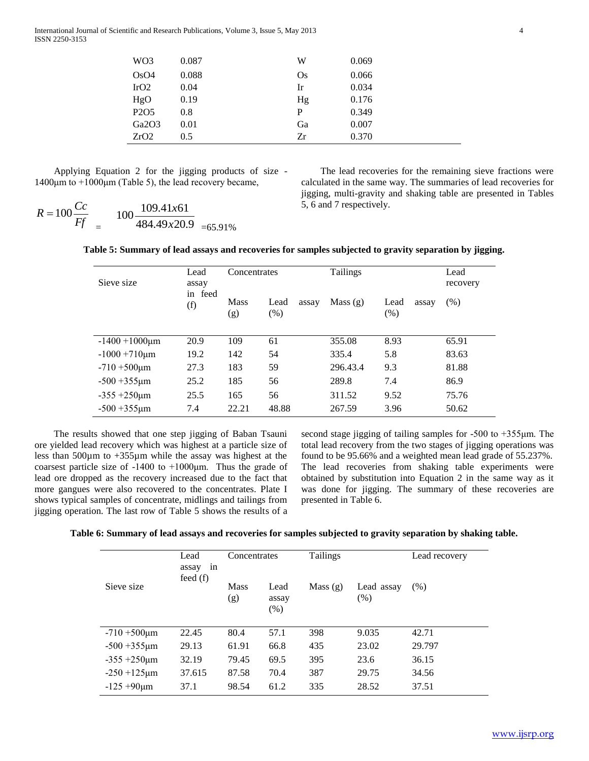International Journal of Scientific and Research Publications, Volume 3, Issue 5, May 2013 4 ISSN 2250-3153

| WO <sub>3</sub>               | 0.087 | W  | 0.069 |
|-------------------------------|-------|----|-------|
| OsO4                          | 0.088 | Os | 0.066 |
| IrO2                          | 0.04  | Ir | 0.034 |
| HgO                           | 0.19  | Hg | 0.176 |
| P <sub>2</sub> O <sub>5</sub> | 0.8   | P  | 0.349 |
| Ga2O3                         | 0.01  | Ga | 0.007 |
| ZrO2                          | 0.5   | Zr | 0.370 |
|                               |       |    |       |

 Applying Equation 2 for the jigging products of size - 1400μm to  $+1000$ μm (Table 5), the lead recovery became,

$$
R = 100 \frac{Cc}{Ff} = 100 \frac{109.41x61}{484.49x20.9} = 65.919
$$

 The lead recoveries for the remaining sieve fractions were calculated in the same way. The summaries of lead recoveries for jigging, multi-gravity and shaking table are presented in Tables 5, 6 and 7 respectively.

| $R = 100 \frac{Cc}{C}$ | $100\frac{109.41x61}{x}$ |  |
|------------------------|--------------------------|--|
|                        | $484.49x20.9$ =65.91%    |  |

|  |  | Table 5: Summary of lead assays and recoveries for samples subjected to gravity separation by jigging. |
|--|--|--------------------------------------------------------------------------------------------------------|
|  |  |                                                                                                        |

| Sieve size           | Lead<br>Concentrates<br>assay |                    |                       | <b>Tailings</b> |                       |         |
|----------------------|-------------------------------|--------------------|-----------------------|-----------------|-----------------------|---------|
|                      | in feed<br>(f)                | <b>Mass</b><br>(g) | Lead<br>assay<br>(% ) | Mass(g)         | Lead<br>assay<br>(% ) | $(\% )$ |
| $-1400 + 1000 \mu m$ | 20.9                          | 109                | 61                    | 355.08          | 8.93                  | 65.91   |
| $-1000 + 710 \mu m$  | 19.2                          | 142                | 54                    | 335.4           | 5.8                   | 83.63   |
| $-710 + 500 \mu m$   | 27.3                          | 183                | 59                    | 296.43.4        | 9.3                   | 81.88   |
| $-500 + 355 \mu m$   | 25.2                          | 185                | 56                    | 289.8           | 7.4                   | 86.9    |
| $-355 + 250 \mu m$   | 25.5                          | 165                | 56                    | 311.52          | 9.52                  | 75.76   |
| $-500 + 355 \mu m$   | 7.4                           | 22.21              | 48.88                 | 267.59          | 3.96                  | 50.62   |

 The results showed that one step jigging of Baban Tsauni ore yielded lead recovery which was highest at a particle size of less than 500µm to +355µm while the assay was highest at the coarsest particle size of  $-1400$  to  $+1000\mu$ m. Thus the grade of lead ore dropped as the recovery increased due to the fact that more gangues were also recovered to the concentrates. Plate I shows typical samples of concentrate, midlings and tailings from jigging operation. The last row of Table 5 shows the results of a second stage jigging of tailing samples for -500 to +355μm. The total lead recovery from the two stages of jigging operations was found to be 95.66% and a weighted mean lead grade of 55.237%. The lead recoveries from shaking table experiments were obtained by substitution into Equation 2 in the same way as it was done for jigging. The summary of these recoveries are presented in Table 6.

| Table 6: Summary of lead assays and recoveries for samples subjected to gravity separation by shaking table. |  |  |  |  |  |  |  |  |
|--------------------------------------------------------------------------------------------------------------|--|--|--|--|--|--|--|--|
|--------------------------------------------------------------------------------------------------------------|--|--|--|--|--|--|--|--|

|                    | Lead<br>in<br>assay | Concentrates       |                       | <b>Tailings</b> |                    | Lead recovery |
|--------------------|---------------------|--------------------|-----------------------|-----------------|--------------------|---------------|
| Sieve size         | feed $(f)$          | <b>Mass</b><br>(g) | Lead<br>assay<br>(% ) | Mass $(g)$      | Lead assay<br>(% ) | (% )          |
| $-710 + 500 \mu m$ | 22.45               | 80.4               | 57.1                  | 398             | 9.035              | 42.71         |
| $-500 + 355 \mu m$ | 29.13               | 61.91              | 66.8                  | 435             | 23.02              | 29.797        |
| $-355 + 250 \mu m$ | 32.19               | 79.45              | 69.5                  | 395             | 23.6               | 36.15         |
| $-250 + 125 \mu m$ | 37.615              | 87.58              | 70.4                  | 387             | 29.75              | 34.56         |
| $-125 + 90 \mu m$  | 37.1                | 98.54              | 61.2                  | 335             | 28.52              | 37.51         |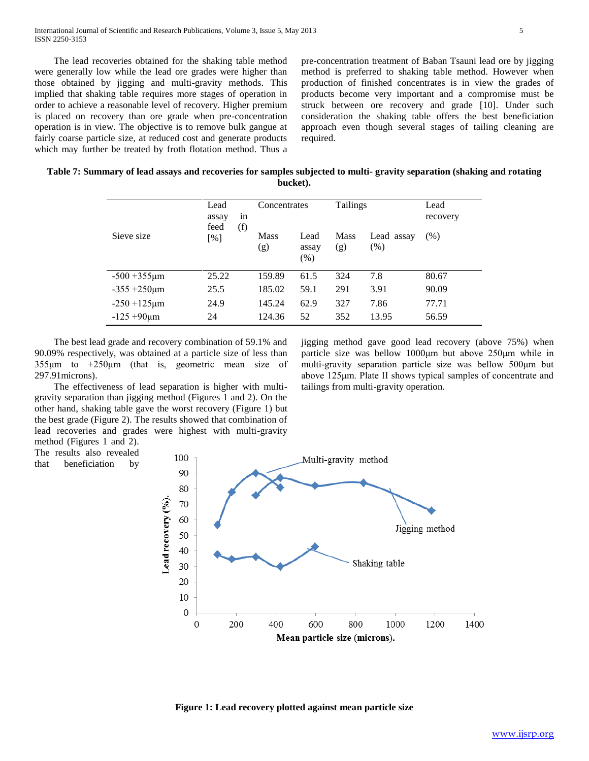The lead recoveries obtained for the shaking table method were generally low while the lead ore grades were higher than those obtained by jigging and multi-gravity methods. This implied that shaking table requires more stages of operation in order to achieve a reasonable level of recovery. Higher premium is placed on recovery than ore grade when pre-concentration operation is in view. The objective is to remove bulk gangue at fairly coarse particle size, at reduced cost and generate products which may further be treated by froth flotation method. Thus a

pre-concentration treatment of Baban Tsauni lead ore by jigging method is preferred to shaking table method. However when production of finished concentrates is in view the grades of products become very important and a compromise must be struck between ore recovery and grade [10]. Under such consideration the shaking table offers the best beneficiation approach even though several stages of tailing cleaning are required.

jigging method gave good lead recovery (above 75%) when particle size was bellow 1000μm but above 250μm while in multi-gravity separation particle size was bellow 500μm but above 125μm. Plate II shows typical samples of concentrate and

tailings from multi-gravity operation.

| Table 7: Summary of lead assays and recoveries for samples subjected to multi-gravity separation (shaking and rotating |
|------------------------------------------------------------------------------------------------------------------------|
| bucket).                                                                                                               |

| Sieve size         | Lead<br>in<br>assay<br>feed<br>(f)<br>[%] | Concentrates       |                       | <b>Tailings</b>    |                   | Lead<br>recovery |
|--------------------|-------------------------------------------|--------------------|-----------------------|--------------------|-------------------|------------------|
|                    |                                           | <b>Mass</b><br>(g) | Lead<br>assay<br>(% ) | <b>Mass</b><br>(g) | Lead assay<br>(%) | (% )             |
| $-500 + 355 \mu m$ | 25.22                                     | 159.89             | 61.5                  | 324                | 7.8               | 80.67            |
| $-355 + 250 \mu m$ | 25.5                                      | 185.02             | 59.1                  | 291                | 3.91              | 90.09            |
| $-250 + 125 \mu m$ | 24.9                                      | 145.24             | 62.9                  | 327                | 7.86              | 77.71            |
| $-125 + 90 \mu m$  | 24                                        | 124.36             | 52                    | 352                | 13.95             | 56.59            |

 The best lead grade and recovery combination of 59.1% and 90.09% respectively, was obtained at a particle size of less than 355μm to +250μm (that is, geometric mean size of 297.91microns).

 The effectiveness of lead separation is higher with multigravity separation than jigging method (Figures 1 and 2). On the other hand, shaking table gave the worst recovery (Figure 1) but the best grade (Figure 2). The results showed that combination of lead recoveries and grades were highest with multi-gravity method (Figures 1 and 2).

The results also revealed

that beneficiation by



**Figure 1: Lead recovery plotted against mean particle size**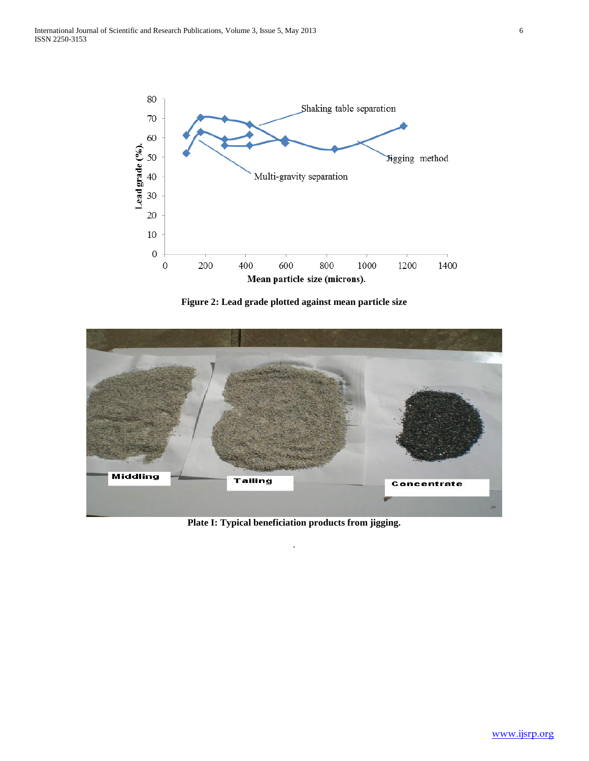

**Figure 2: Lead grade plotted against mean particle size**



**Plate I: Typical beneficiation products from jigging.**

.